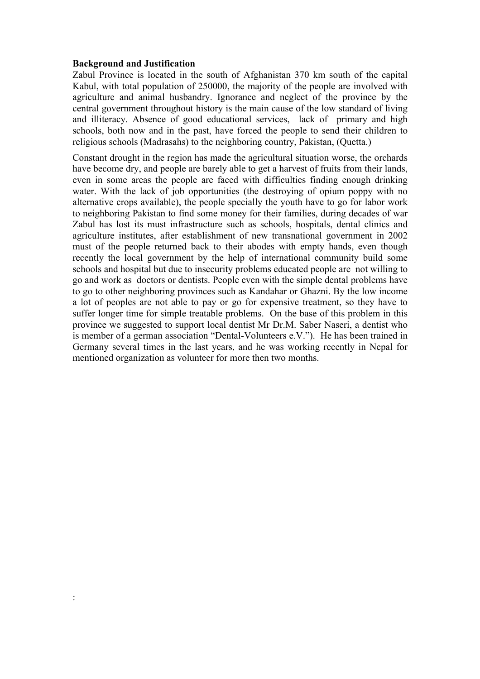#### **Background and Justification**

Zabul Province is located in the south of Afghanistan 370 km south of the capital Kabul, with total population of 250000, the majority of the people are involved with agriculture and animal husbandry. Ignorance and neglect of the province by the central government throughout history is the main cause of the low standard of living and illiteracy. Absence of good educational services, lack of primary and high schools, both now and in the past, have forced the people to send their children to religious schools (Madrasahs) to the neighboring country, Pakistan, (Quetta.)

Constant drought in the region has made the agricultural situation worse, the orchards have become dry, and people are barely able to get a harvest of fruits from their lands, even in some areas the people are faced with difficulties finding enough drinking water. With the lack of job opportunities (the destroying of opium poppy with no alternative crops available), the people specially the youth have to go for labor work to neighboring Pakistan to find some money for their families, during decades of war Zabul has lost its must infrastructure such as schools, hospitals, dental clinics and agriculture institutes, after establishment of new transnational government in 2002 must of the people returned back to their abodes with empty hands, even though recently the local government by the help of international community build some schools and hospital but due to insecurity problems educated people are not willing to go and work as doctors or dentists. People even with the simple dental problems have to go to other neighboring provinces such as Kandahar or Ghazni. By the low income a lot of peoples are not able to pay or go for expensive treatment, so they have to suffer longer time for simple treatable problems. On the base of this problem in this province we suggested to support local dentist Mr Dr.M. Saber Naseri, a dentist who is member of a german association "Dental-Volunteers e.V."). He has been trained in Germany several times in the last years, and he was working recently in Nepal for mentioned organization as volunteer for more then two months.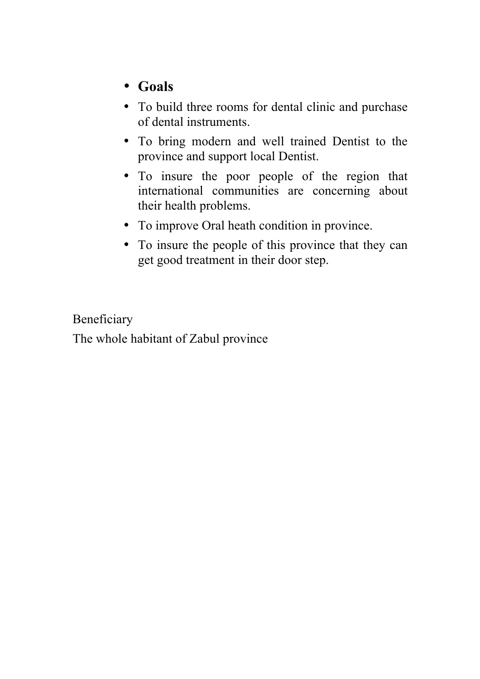# • **Goals**

- To build three rooms for dental clinic and purchase of dental instruments.
- To bring modern and well trained Dentist to the province and support local Dentist.
- To insure the poor people of the region that international communities are concerning about their health problems.
- To improve Oral heath condition in province.
- To insure the people of this province that they can get good treatment in their door step.

Beneficiary The whole habitant of Zabul province